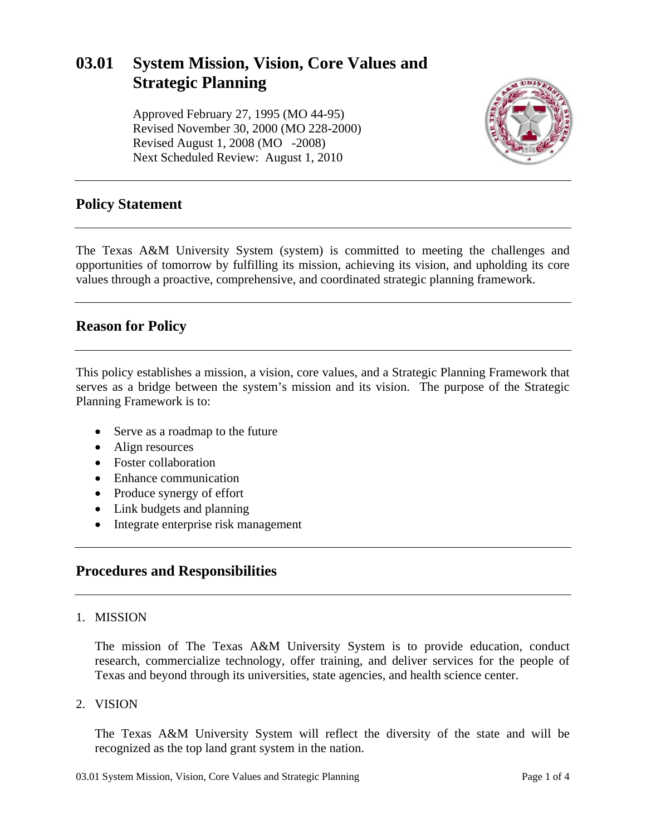# **03.01 System Mission, Vision, Core Values and Strategic Planning**

Approved February 27, 1995 (MO 44-95) Revised November 30, 2000 (MO 228-2000) Revised August 1, 2008 (MO -2008) Next Scheduled Review: August 1, 2010



### **Policy Statement**

The Texas A&M University System (system) is committed to meeting the challenges and opportunities of tomorrow by fulfilling its mission, achieving its vision, and upholding its core values through a proactive, comprehensive, and coordinated strategic planning framework.

### **Reason for Policy**

This policy establishes a mission, a vision, core values, and a Strategic Planning Framework that serves as a bridge between the system's mission and its vision. The purpose of the Strategic Planning Framework is to:

- Serve as a roadmap to the future
- Align resources
- Foster collaboration
- Enhance communication
- Produce synergy of effort
- Link budgets and planning
- Integrate enterprise risk management

### **Procedures and Responsibilities**

#### 1. MISSION

The mission of The Texas A&M University System is to provide education, conduct research, commercialize technology, offer training, and deliver services for the people of Texas and beyond through its universities, state agencies, and health science center.

2. VISION

The Texas A&M University System will reflect the diversity of the state and will be recognized as the top land grant system in the nation.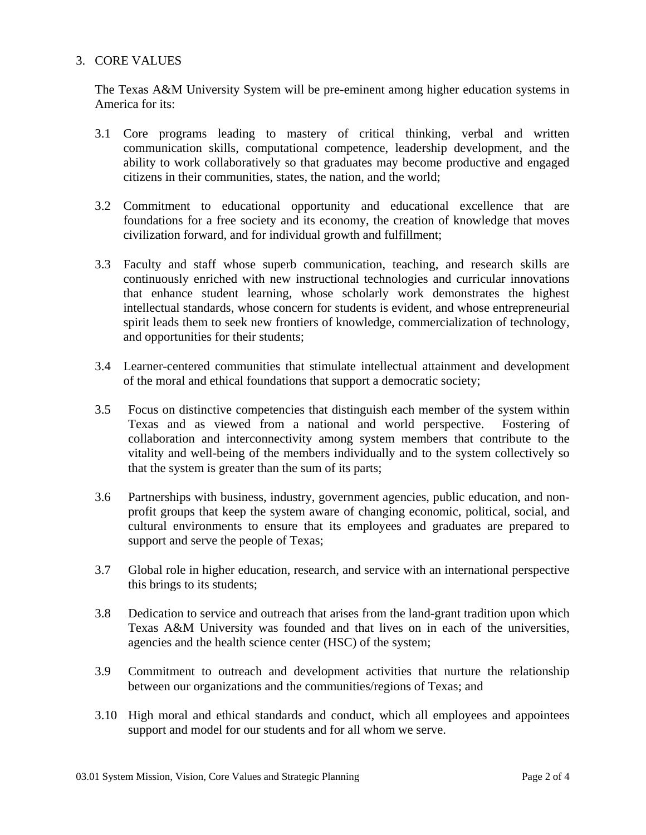#### 3. CORE VALUES

The Texas A&M University System will be pre-eminent among higher education systems in America for its:

- 3.1 Core programs leading to mastery of critical thinking, verbal and written communication skills, computational competence, leadership development, and the ability to work collaboratively so that graduates may become productive and engaged citizens in their communities, states, the nation, and the world;
- 3.2 Commitment to educational opportunity and educational excellence that are foundations for a free society and its economy, the creation of knowledge that moves civilization forward, and for individual growth and fulfillment;
- 3.3 Faculty and staff whose superb communication, teaching, and research skills are continuously enriched with new instructional technologies and curricular innovations that enhance student learning, whose scholarly work demonstrates the highest intellectual standards, whose concern for students is evident, and whose entrepreneurial spirit leads them to seek new frontiers of knowledge, commercialization of technology, and opportunities for their students;
- 3.4 Learner-centered communities that stimulate intellectual attainment and development of the moral and ethical foundations that support a democratic society;
- 3.5 Focus on distinctive competencies that distinguish each member of the system within Texas and as viewed from a national and world perspective. Fostering of collaboration and interconnectivity among system members that contribute to the vitality and well-being of the members individually and to the system collectively so that the system is greater than the sum of its parts;
- 3.6 Partnerships with business, industry, government agencies, public education, and nonprofit groups that keep the system aware of changing economic, political, social, and cultural environments to ensure that its employees and graduates are prepared to support and serve the people of Texas;
- 3.7 Global role in higher education, research, and service with an international perspective this brings to its students;
- 3.8 Dedication to service and outreach that arises from the land-grant tradition upon which Texas A&M University was founded and that lives on in each of the universities, agencies and the health science center (HSC) of the system;
- 3.9 Commitment to outreach and development activities that nurture the relationship between our organizations and the communities/regions of Texas; and
- 3.10 High moral and ethical standards and conduct, which all employees and appointees support and model for our students and for all whom we serve.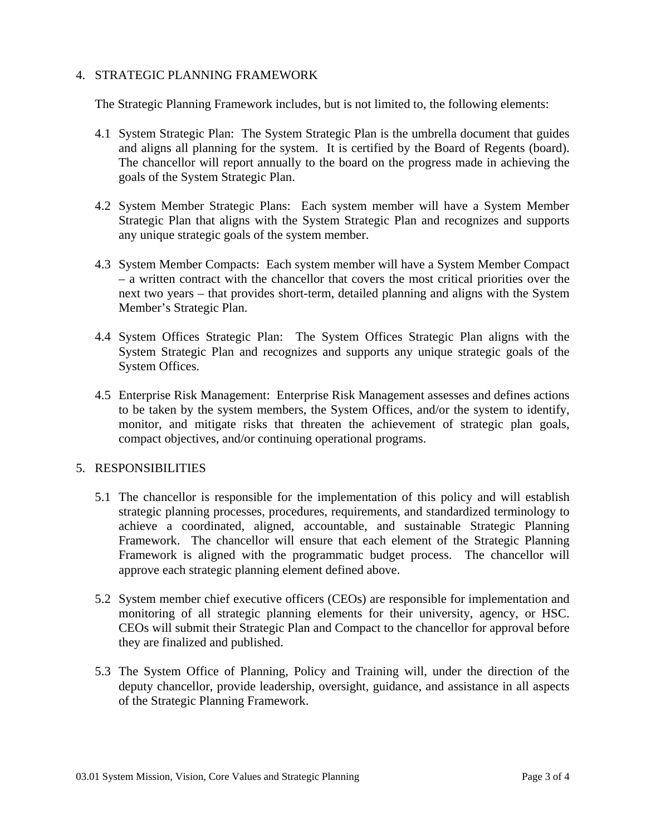#### 4. STRATEGIC PLANNING FRAMEWORK

The Strategic Planning Framework includes, but is not limited to, the following elements:

- 4.1 System Strategic Plan: The System Strategic Plan is the umbrella document that guides and aligns all planning for the system. It is certified by the Board of Regents (board). The chancellor will report annually to the board on the progress made in achieving the goals of the System Strategic Plan.
- 4.2 System Member Strategic Plans: Each system member will have a System Member Strategic Plan that aligns with the System Strategic Plan and recognizes and supports any unique strategic goals of the system member.
- 4.3 System Member Compacts: Each system member will have a System Member Compact – a written contract with the chancellor that covers the most critical priorities over the next two years – that provides short-term, detailed planning and aligns with the System Member's Strategic Plan.
- 4.4 System Offices Strategic Plan: The System Offices Strategic Plan aligns with the System Strategic Plan and recognizes and supports any unique strategic goals of the System Offices.
- 4.5 Enterprise Risk Management: Enterprise Risk Management assesses and defines actions to be taken by the system members, the System Offices, and/or the system to identify, monitor, and mitigate risks that threaten the achievement of strategic plan goals, compact objectives, and/or continuing operational programs.

#### 5. RESPONSIBILITIES

- 5.1 The chancellor is responsible for the implementation of this policy and will establish strategic planning processes, procedures, requirements, and standardized terminology to achieve a coordinated, aligned, accountable, and sustainable Strategic Planning Framework. The chancellor will ensure that each element of the Strategic Planning Framework is aligned with the programmatic budget process. The chancellor will approve each strategic planning element defined above.
- 5.2 System member chief executive officers (CEOs) are responsible for implementation and monitoring of all strategic planning elements for their university, agency, or HSC. CEOs will submit their Strategic Plan and Compact to the chancellor for approval before they are finalized and published.
- 5.3 The System Office of Planning, Policy and Training will, under the direction of the deputy chancellor, provide leadership, oversight, guidance, and assistance in all aspects of the Strategic Planning Framework.